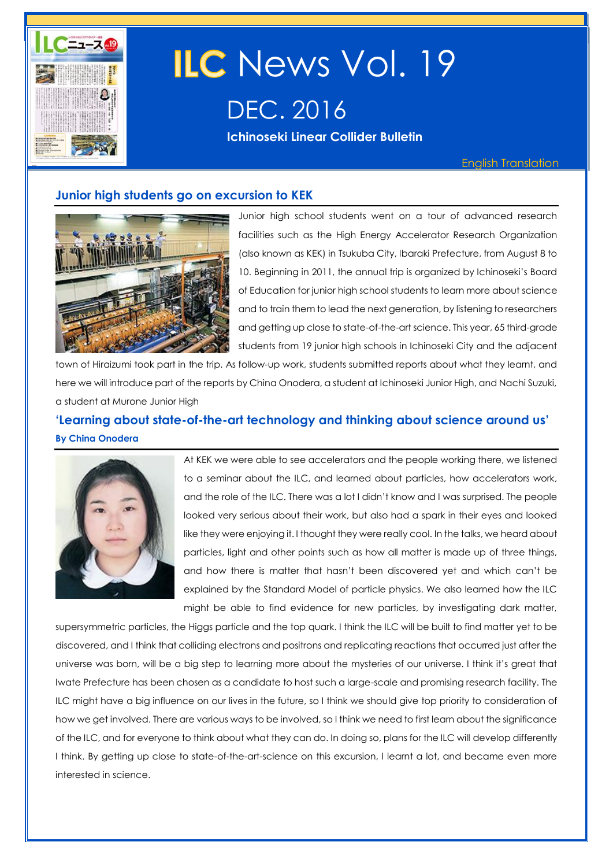

# ILC News Vol. 19 DEC. 2016 **Ichinoseki Linear Collider Bulletin**

English Translation

# **Junior high students go on excursion to KEK**



Junior high school students went on a tour of advanced research facilities such as the High Energy Accelerator Research Organization (also known as KEK) in Tsukuba City, Ibaraki Prefecture, from August 8 to 10. Beginning in 2011, the annual trip is organized by Ichinoseki's Board of Education for junior high school students to learn more about science and to train them to lead the next generation, by listening to researchers and getting up close to state-of-the-art science. This year, 65 third-grade students from 19 junior high schools in Ichinoseki City and the adjacent

town of Hiraizumi took part in the trip. As follow-up work, students submitted reports about what they learnt, and here we will introduce part of the reports by China Onodera, a student at Ichinoseki Junior High, and Nachi Suzuki, a student at Murone Junior High

# **'Learning about state-of-the-art technology and thinking about science around us' By China Onodera**



At KEK we were able to see accelerators and the people working there, we listened to a seminar about the ILC, and learned about particles, how accelerators work, and the role of the ILC. There was a lot I didn't know and I was surprised. The people looked very serious about their work, but also had a spark in their eyes and looked like they were enjoying it. I thought they were really cool. In the talks, we heard about particles, light and other points such as how all matter is made up of three things, and how there is matter that hasn't been discovered yet and which can't be explained by the Standard Model of particle physics. We also learned how the ILC might be able to find evidence for new particles, by investigating dark matter,

supersymmetric particles, the Higgs particle and the top quark. I think the ILC will be built to find matter yet to be discovered, and I think that colliding electrons and positrons and replicating reactions that occurred just after the universe was born, will be a big step to learning more about the mysteries of our universe. I think it's great that Iwate Prefecture has been chosen as a candidate to host such a large-scale and promising research facility. The ILC might have a big influence on our lives in the future, so I think we should give top priority to consideration of how we get involved. There are various ways to be involved, so I think we need to first learn about the significance of the ILC, and for everyone to think about what they can do. In doing so, plans for the ILC will develop differently I think. By getting up close to state-of-the-art-science on this excursion, I learnt a lot, and became even more interested in science.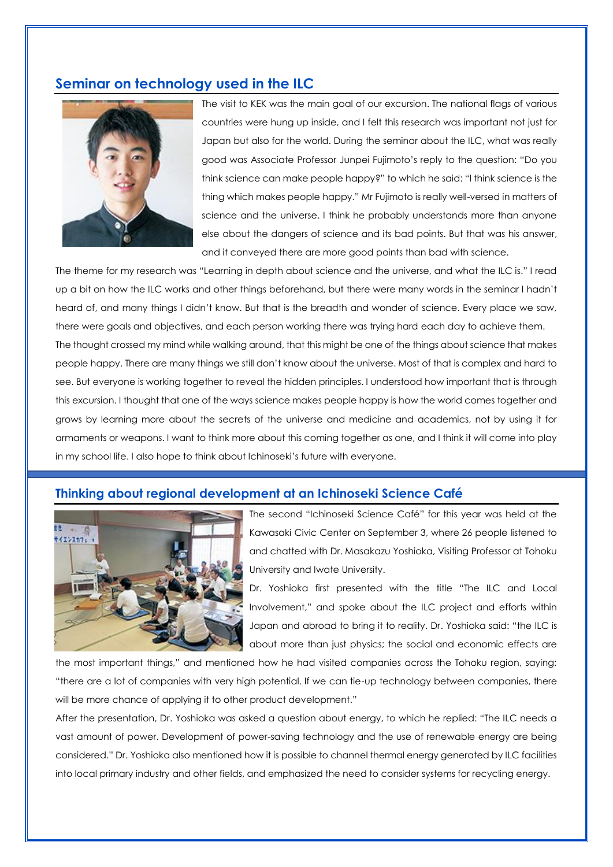# **Seminar on technology used in the ILC**



The visit to KEK was the main goal of our excursion. The national flags of various countries were hung up inside, and I felt this research was important not just for Japan but also for the world. During the seminar about the ILC, what was really good was Associate Professor Junpei Fujimoto's reply to the question: "Do you think science can make people happy?" to which he said: "I think science is the thing which makes people happy." Mr Fujimoto is really well-versed in matters of science and the universe. I think he probably understands more than anyone else about the dangers of science and its bad points. But that was his answer, and it conveyed there are more good points than bad with science.

The theme for my research was "Learning in depth about science and the universe, and what the ILC is." I read up a bit on how the ILC works and other things beforehand, but there were many words in the seminar I hadn't heard of, and many things I didn't know. But that is the breadth and wonder of science. Every place we saw, there were goals and objectives, and each person working there was trying hard each day to achieve them. The thought crossed my mind while walking around, that this might be one of the things about science that makes people happy. There are many things we still don't know about the universe. Most of that is complex and hard to see. But everyone is working together to reveal the hidden principles. I understood how important that is through this excursion. I thought that one of the ways science makes people happy is how the world comes together and grows by learning more about the secrets of the universe and medicine and academics, not by using it for armaments or weapons. I want to think more about this coming together as one, and I think it will come into play in my school life. I also hope to think about Ichinoseki's future with everyone.

#### **Thinking about regional development at an Ichinoseki Science Café**



The second "Ichinoseki Science Café" for this year was held at the Kawasaki Civic Center on September 3, where 26 people listened to and chatted with Dr. Masakazu Yoshioka, Visiting Professor at Tohoku University and Iwate University.

Dr. Yoshioka first presented with the title "The ILC and Local Involvement," and spoke about the ILC project and efforts within Japan and abroad to bring it to reality. Dr. Yoshioka said: "the ILC is about more than just physics; the social and economic effects are

the most important things," and mentioned how he had visited companies across the Tohoku region, saying: "there are a lot of companies with very high potential. If we can tie-up technology between companies, there will be more chance of applying it to other product development."

After the presentation, Dr. Yoshioka was asked a question about energy, to which he replied: "The ILC needs a vast amount of power. Development of power-saving technology and the use of renewable energy are being considered." Dr. Yoshioka also mentioned how it is possible to channel thermal energy generated by ILC facilities into local primary industry and other fields, and emphasized the need to consider systems for recycling energy.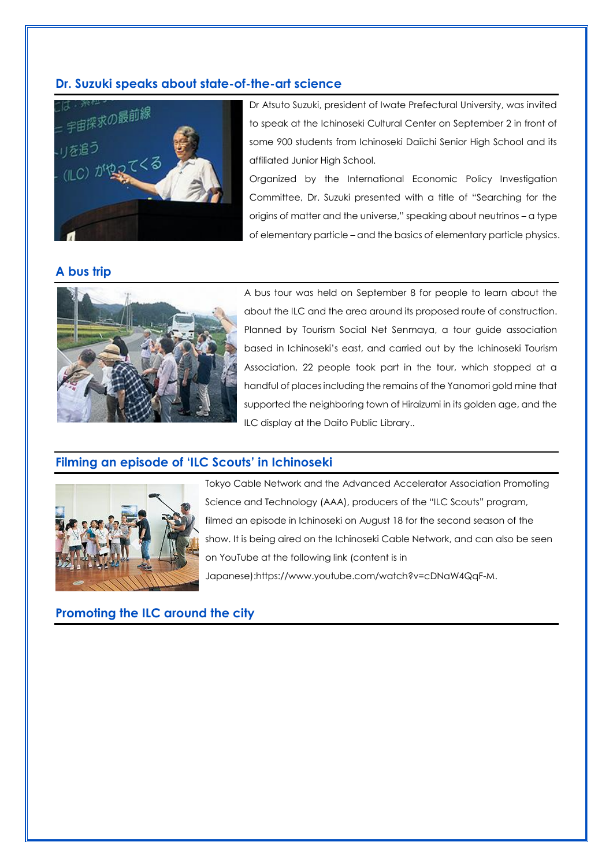#### **Dr. Suzuki speaks about state-of-the-art science**



Dr Atsuto Suzuki, president of Iwate Prefectural University, was invited to speak at the Ichinoseki Cultural Center on September 2 in front of some 900 students from Ichinoseki Daiichi Senior High School and its affiliated Junior High School.

Organized by the International Economic Policy Investigation Committee, Dr. Suzuki presented with a title of "Searching for the origins of matter and the universe," speaking about neutrinos – a type of elementary particle – and the basics of elementary particle physics.

## **A bus trip**



A bus tour was held on September 8 for people to learn about the about the ILC and the area around its proposed route of construction. Planned by Tourism Social Net Senmaya, a tour guide association based in Ichinoseki's east, and carried out by the Ichinoseki Tourism Association, 22 people took part in the tour, which stopped at a handful of places including the remains of the Yanomori gold mine that supported the neighboring town of Hiraizumi in its golden age, and the ILC display at the Daito Public Library..

#### **Filming an episode of 'ILC Scouts' in Ichinoseki**



Tokyo Cable Network and the Advanced Accelerator Association Promoting Science and Technology (AAA), producers of the "ILC Scouts" program, filmed an episode in Ichinoseki on August 18 for the second season of the show. It is being aired on the Ichinoseki Cable Network, and can also be seen on YouTube at the following link (content is in Japanese[\):https://www.youtube.com/watch?v=cDNaW4QqF-M.](https://www.youtube.com/watch?v=cDNaW4QqF-M)

### **Promoting the ILC around the city**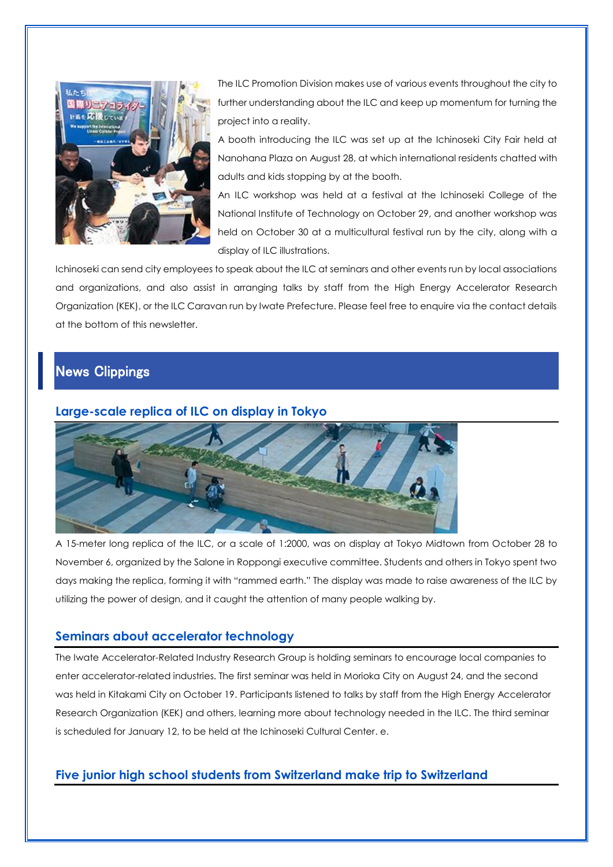

The ILC Promotion Division makes use of various events throughout the city to further understanding about the ILC and keep up momentum for turning the project into a reality.

A booth introducing the ILC was set up at the Ichinoseki City Fair held at Nanohana Plaza on August 28, at which international residents chatted with adults and kids stopping by at the booth.

An ILC workshop was held at a festival at the Ichinoseki College of the National Institute of Technology on October 29, and another workshop was held on October 30 at a multicultural festival run by the city, along with a display of ILC illustrations.

Ichinoseki can send city employees to speak about the ILC at seminars and other events run by local associations and organizations, and also assist in arranging talks by staff from the High Energy Accelerator Research Organization (KEK), or the ILC Caravan run by Iwate Prefecture. Please feel free to enquire via the contact details at the bottom of this newsletter.

# News Clippings

#### **Large-scale replica of ILC on display in Tokyo**



A 15-meter long replica of the ILC, or a scale of 1:2000, was on display at Tokyo Midtown from October 28 to November 6, organized by the Salone in Roppongi executive committee. Students and others in Tokyo spent two days making the replica, forming it with "rammed earth." The display was made to raise awareness of the ILC by utilizing the power of design, and it caught the attention of many people walking by.

## **Seminars about accelerator technology**

The Iwate Accelerator-Related Industry Research Group is holding seminars to encourage local companies to enter accelerator-related industries. The first seminar was held in Morioka City on August 24, and the second was held in Kitakami City on October 19. Participants listened to talks by staff from the High Energy Accelerator Research Organization (KEK) and others, learning more about technology needed in the ILC. The third seminar is scheduled for January 12, to be held at the Ichinoseki Cultural Center. e.

# **Five junior high school students from Switzerland make trip to Switzerland**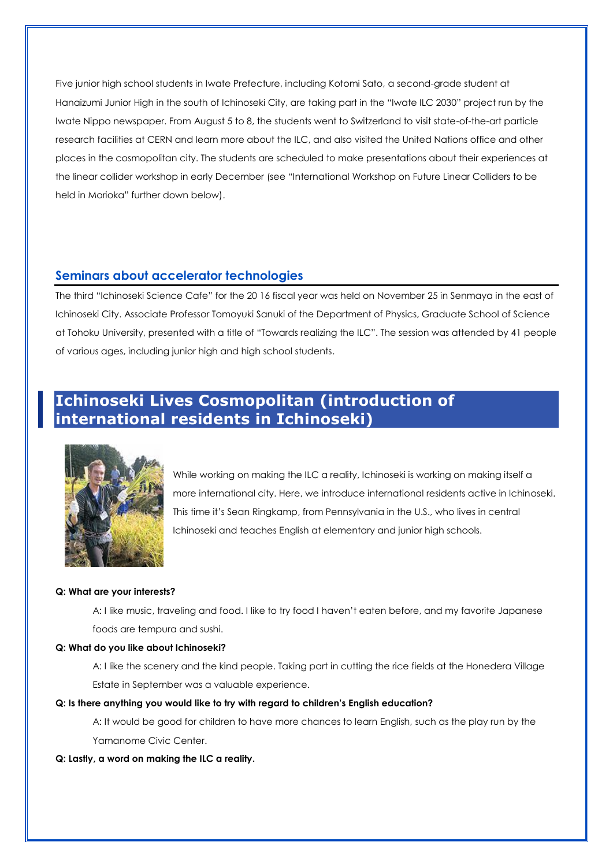Five junior high school students in Iwate Prefecture, including Kotomi Sato, a second-grade student at Hanaizumi Junior High in the south of Ichinoseki City, are taking part in the "Iwate ILC 2030" project run by the Iwate Nippo newspaper. From August 5 to 8, the students went to Switzerland to visit state-of-the-art particle research facilities at CERN and learn more about the ILC, and also visited the United Nations office and other places in the cosmopolitan city. The students are scheduled to make presentations about their experiences at the linear collider workshop in early December (see "International Workshop on Future Linear Colliders to be held in Morioka" further down below).

#### **Seminars about accelerator technologies**

The third "Ichinoseki Science Cafe" for the 20 16 fiscal year was held on November 25 in Senmaya in the east of Ichinoseki City. Associate Professor Tomoyuki Sanuki of the Department of Physics, Graduate School of Science at Tohoku University, presented with a title of "Towards realizing the ILC". The session was attended by 41 people of various ages, including junior high and high school students.

# **Ichinoseki Lives Cosmopolitan (introduction of international residents in Ichinoseki)**



While working on making the ILC a reality, Ichinoseki is working on making itself a more international city. Here, we introduce international residents active in Ichinoseki. This time it's Sean Ringkamp, from Pennsylvania in the U.S., who lives in central Ichinoseki and teaches English at elementary and junior high schools.

#### **Q: What are your interests?**

A: I like music, traveling and food. I like to try food I haven't eaten before, and my favorite Japanese foods are tempura and sushi.

#### **Q: What do you like about Ichinoseki?**

A: I like the scenery and the kind people. Taking part in cutting the rice fields at the Honedera Village Estate in September was a valuable experience.

#### **Q: Is there anything you would like to try with regard to children's English education?**

A: It would be good for children to have more chances to learn English, such as the play run by the Yamanome Civic Center.

#### **Q: Lastly, a word on making the ILC a reality.**